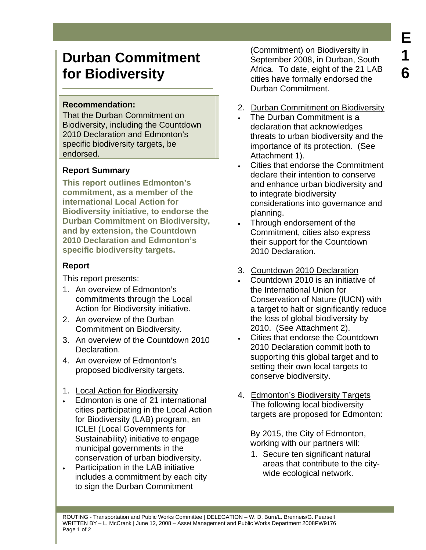# **Durban Commitment for Biodiversity**

### **Recommendation:**

That the Durban Commitment on Biodiversity, including the Countdown 2010 Declaration and Edmonton's specific biodiversity targets, be endorsed.

## **Report Summary**

**This report outlines Edmonton's commitment, as a member of the international Local Action for Biodiversity initiative, to endorse the Durban Commitment on Biodiversity, and by extension, the Countdown 2010 Declaration and Edmonton's specific biodiversity targets.** 

## **Report**

This report presents:

- 1. An overview of Edmonton's commitments through the Local Action for Biodiversity initiative.
- 2. An overview of the Durban Commitment on Biodiversity.
- 3. An overview of the Countdown 2010 Declaration.
- 4. An overview of Edmonton's proposed biodiversity targets.

## 1. Local Action for Biodiversity

- Edmonton is one of 21 international cities participating in the Local Action for Biodiversity (LAB) program, an ICLEI (Local Governments for Sustainability) initiative to engage municipal governments in the conservation of urban biodiversity.
- Participation in the LAB initiative includes a commitment by each city to sign the Durban Commitment

(Commitment) on Biodiversity in September 2008, in Durban, South Africa. To date, eight of the 21 LAB cities have formally endorsed the Durban Commitment.

- 2. Durban Commitment on Biodiversity
- The Durban Commitment is a declaration that acknowledges threats to urban biodiversity and the importance of its protection. (See Attachment 1).
- Cities that endorse the Commitment declare their intention to conserve and enhance urban biodiversity and to integrate biodiversity considerations into governance and planning.
- Through endorsement of the Commitment, cities also express their support for the Countdown 2010 Declaration.
- 3. Countdown 2010 Declaration
- Countdown 2010 is an initiative of the International Union for Conservation of Nature (IUCN) with a target to halt or significantly reduce the loss of global biodiversity by 2010. (See Attachment 2).
- Cities that endorse the Countdown 2010 Declaration commit both to supporting this global target and to setting their own local targets to conserve biodiversity.
- 4. Edmonton's Biodiversity Targets The following local biodiversity targets are proposed for Edmonton:

 By 2015, the City of Edmonton, working with our partners will:

1. Secure ten significant natural areas that contribute to the citywide ecological network.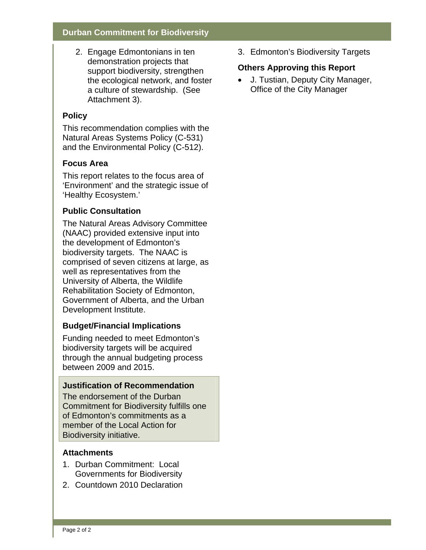#### **Durban Commitment for Biodiversity**

2. Engage Edmontonians in ten demonstration projects that support biodiversity, strengthen the ecological network, and foster a culture of stewardship. (See Attachment 3).

#### **Policy**

This recommendation complies with the Natural Areas Systems Policy (C-531) and the Environmental Policy (C-512).

#### **Focus Area**

This report relates to the focus area of 'Environment' and the strategic issue of 'Healthy Ecosystem.'

## **Public Consultation**

The Natural Areas Advisory Committee (NAAC) provided extensive input into the development of Edmonton's biodiversity targets. The NAAC is comprised of seven citizens at large, as well as representatives from the University of Alberta, the Wildlife Rehabilitation Society of Edmonton, Government of Alberta, and the Urban Development Institute.

## **Budget/Financial Implications**

Funding needed to meet Edmonton's biodiversity targets will be acquired through the annual budgeting process between 2009 and 2015.

### **Justification of Recommendation**

The endorsement of the Durban Commitment for Biodiversity fulfills one of Edmonton's commitments as a member of the Local Action for Biodiversity initiative.

#### **Attachments**

- 1. Durban Commitment: Local Governments for Biodiversity
- 2. Countdown 2010 Declaration

3. Edmonton's Biodiversity Targets

### **Others Approving this Report**

• J. Tustian, Deputy City Manager, Office of the City Manager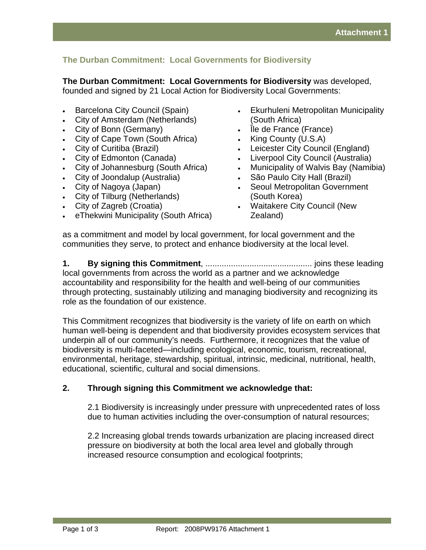## **The Durban Commitment: Local Governments for Biodiversity**

**The Durban Commitment: Local Governments for Biodiversity** was developed, founded and signed by 21 Local Action for Biodiversity Local Governments:

- Barcelona City Council (Spain)
- City of Amsterdam (Netherlands)
- City of Bonn (Germany)
- City of Cape Town (South Africa)
- City of Curitiba (Brazil)
- City of Edmonton (Canada)
- City of Johannesburg (South Africa)
- City of Joondalup (Australia)
- City of Nagoya (Japan)
- City of Tilburg (Netherlands)
- City of Zagreb (Croatia)
- eThekwini Municipality (South Africa)
- Ekurhuleni Metropolitan Municipality (South Africa)
- Île de France (France)
- King County (U.S.A)
- Leicester City Council (England)
- Liverpool City Council (Australia)
- Municipality of Walvis Bay (Namibia)
- São Paulo City Hall (Brazil)
- Seoul Metropolitan Government (South Korea)
- Waitakere City Council (New Zealand)

as a commitment and model by local government, for local government and the communities they serve, to protect and enhance biodiversity at the local level.

**1. By signing this Commitment**, .............................................. joins these leading local governments from across the world as a partner and we acknowledge accountability and responsibility for the health and well-being of our communities through protecting, sustainably utilizing and managing biodiversity and recognizing its role as the foundation of our existence.

This Commitment recognizes that biodiversity is the variety of life on earth on which human well-being is dependent and that biodiversity provides ecosystem services that underpin all of our community's needs. Furthermore, it recognizes that the value of biodiversity is multi-faceted—including ecological, economic, tourism, recreational, environmental, heritage, stewardship, spiritual, intrinsic, medicinal, nutritional, health, educational, scientific, cultural and social dimensions.

#### **2. Through signing this Commitment we acknowledge that:**

2.1 Biodiversity is increasingly under pressure with unprecedented rates of loss due to human activities including the over-consumption of natural resources;

2.2 Increasing global trends towards urbanization are placing increased direct pressure on biodiversity at both the local area level and globally through increased resource consumption and ecological footprints;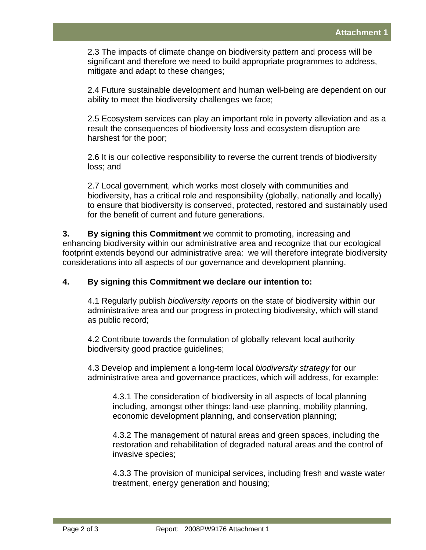2.3 The impacts of climate change on biodiversity pattern and process will be significant and therefore we need to build appropriate programmes to address, mitigate and adapt to these changes;

2.4 Future sustainable development and human well-being are dependent on our ability to meet the biodiversity challenges we face;

2.5 Ecosystem services can play an important role in poverty alleviation and as a result the consequences of biodiversity loss and ecosystem disruption are harshest for the poor;

2.6 It is our collective responsibility to reverse the current trends of biodiversity loss; and

2.7 Local government, which works most closely with communities and biodiversity, has a critical role and responsibility (globally, nationally and locally) to ensure that biodiversity is conserved, protected, restored and sustainably used for the benefit of current and future generations.

**3. By signing this Commitment** we commit to promoting, increasing and enhancing biodiversity within our administrative area and recognize that our ecological footprint extends beyond our administrative area: we will therefore integrate biodiversity considerations into all aspects of our governance and development planning.

#### **4. By signing this Commitment we declare our intention to:**

4.1 Regularly publish *biodiversity reports* on the state of biodiversity within our administrative area and our progress in protecting biodiversity, which will stand as public record;

4.2 Contribute towards the formulation of globally relevant local authority biodiversity good practice guidelines;

4.3 Develop and implement a long-term local *biodiversity strategy* for our administrative area and governance practices, which will address, for example:

4.3.1 The consideration of biodiversity in all aspects of local planning including, amongst other things: land-use planning, mobility planning, economic development planning, and conservation planning;

4.3.2 The management of natural areas and green spaces, including the restoration and rehabilitation of degraded natural areas and the control of invasive species;

4.3.3 The provision of municipal services, including fresh and waste water treatment, energy generation and housing;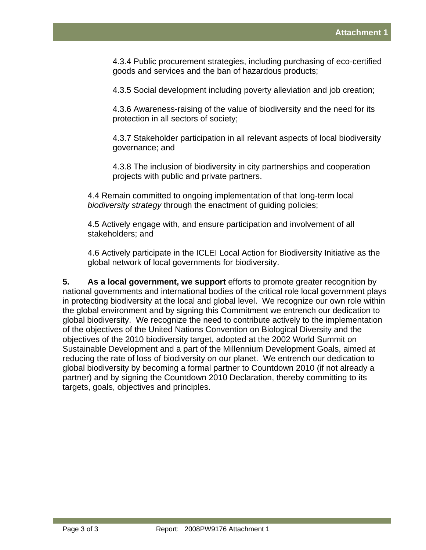4.3.4 Public procurement strategies, including purchasing of eco-certified goods and services and the ban of hazardous products;

4.3.5 Social development including poverty alleviation and job creation;

4.3.6 Awareness-raising of the value of biodiversity and the need for its protection in all sectors of society;

4.3.7 Stakeholder participation in all relevant aspects of local biodiversity governance; and

4.3.8 The inclusion of biodiversity in city partnerships and cooperation projects with public and private partners.

4.4 Remain committed to ongoing implementation of that long-term local *biodiversity strategy* through the enactment of guiding policies;

4.5 Actively engage with, and ensure participation and involvement of all stakeholders; and

4.6 Actively participate in the ICLEI Local Action for Biodiversity Initiative as the global network of local governments for biodiversity.

**5. As a local government, we support** efforts to promote greater recognition by national governments and international bodies of the critical role local government plays in protecting biodiversity at the local and global level. We recognize our own role within the global environment and by signing this Commitment we entrench our dedication to global biodiversity. We recognize the need to contribute actively to the implementation of the objectives of the United Nations Convention on Biological Diversity and the objectives of the 2010 biodiversity target, adopted at the 2002 World Summit on Sustainable Development and a part of the Millennium Development Goals, aimed at reducing the rate of loss of biodiversity on our planet. We entrench our dedication to global biodiversity by becoming a formal partner to Countdown 2010 (if not already a partner) and by signing the Countdown 2010 Declaration, thereby committing to its targets, goals, objectives and principles.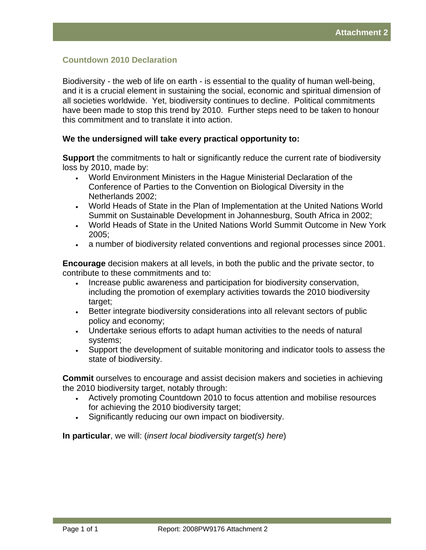#### **Countdown 2010 Declaration**

Biodiversity - the web of life on earth - is essential to the quality of human well-being, and it is a crucial element in sustaining the social, economic and spiritual dimension of all societies worldwide. Yet, biodiversity continues to decline. Political commitments have been made to stop this trend by 2010. Further steps need to be taken to honour this commitment and to translate it into action.

#### **We the undersigned will take every practical opportunity to:**

**Support** the commitments to halt or significantly reduce the current rate of biodiversity loss by 2010, made by:

- World Environment Ministers in the Hague Ministerial Declaration of the Conference of Parties to the Convention on Biological Diversity in the Netherlands 2002;
- World Heads of State in the Plan of Implementation at the United Nations World Summit on Sustainable Development in Johannesburg, South Africa in 2002;
- World Heads of State in the United Nations World Summit Outcome in New York 2005;
- a number of biodiversity related conventions and regional processes since 2001.

**Encourage** decision makers at all levels, in both the public and the private sector, to contribute to these commitments and to:

- Increase public awareness and participation for biodiversity conservation, including the promotion of exemplary activities towards the 2010 biodiversity target;
- Better integrate biodiversity considerations into all relevant sectors of public policy and economy;
- Undertake serious efforts to adapt human activities to the needs of natural systems;
- Support the development of suitable monitoring and indicator tools to assess the state of biodiversity.

**Commit** ourselves to encourage and assist decision makers and societies in achieving the 2010 biodiversity target, notably through:

- Actively promoting Countdown 2010 to focus attention and mobilise resources for achieving the 2010 biodiversity target;
- Significantly reducing our own impact on biodiversity.

**In particular**, we will: (*insert local biodiversity target(s) here*)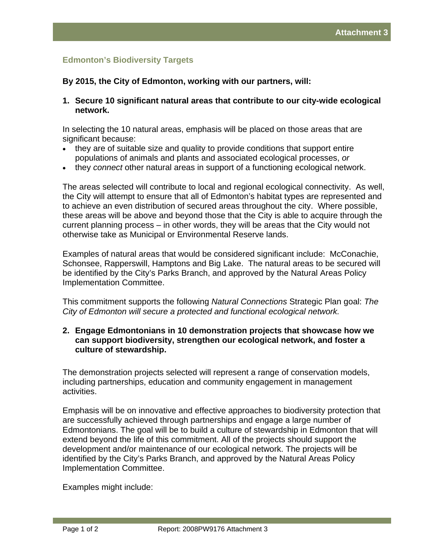## **Edmonton's Biodiversity Targets**

#### **By 2015, the City of Edmonton, working with our partners, will:**

**1. Secure 10 significant natural areas that contribute to our city-wide ecological network.** 

In selecting the 10 natural areas, emphasis will be placed on those areas that are significant because:

- they are of suitable size and quality to provide conditions that support entire populations of animals and plants and associated ecological processes, *or*
- they *connect* other natural areas in support of a functioning ecological network.

The areas selected will contribute to local and regional ecological connectivity. As well, the City will attempt to ensure that all of Edmonton's habitat types are represented and to achieve an even distribution of secured areas throughout the city. Where possible, these areas will be above and beyond those that the City is able to acquire through the current planning process – in other words, they will be areas that the City would not otherwise take as Municipal or Environmental Reserve lands.

Examples of natural areas that would be considered significant include: McConachie, Schonsee, Rapperswill, Hamptons and Big Lake. The natural areas to be secured will be identified by the City's Parks Branch, and approved by the Natural Areas Policy Implementation Committee.

This commitment supports the following *Natural Connections* Strategic Plan goal: *The City of Edmonton will secure a protected and functional ecological network.* 

#### **2. Engage Edmontonians in 10 demonstration projects that showcase how we can support biodiversity, strengthen our ecological network, and foster a culture of stewardship.**

The demonstration projects selected will represent a range of conservation models, including partnerships, education and community engagement in management activities.

Emphasis will be on innovative and effective approaches to biodiversity protection that are successfully achieved through partnerships and engage a large number of Edmontonians. The goal will be to build a culture of stewardship in Edmonton that will extend beyond the life of this commitment. All of the projects should support the development and/or maintenance of our ecological network. The projects will be identified by the City's Parks Branch, and approved by the Natural Areas Policy Implementation Committee.

Examples might include: